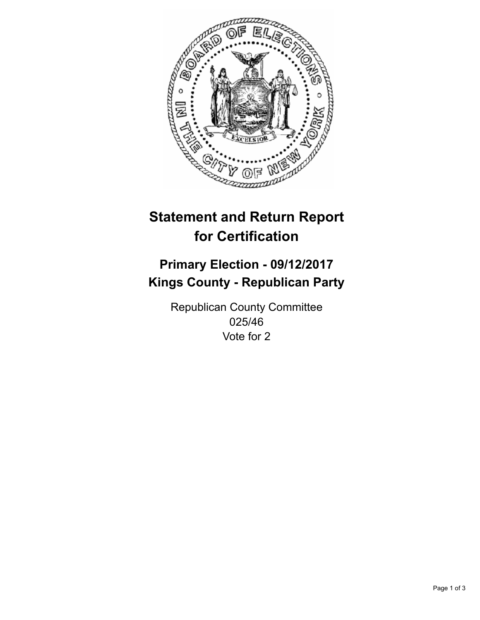

## **Statement and Return Report for Certification**

## **Primary Election - 09/12/2017 Kings County - Republican Party**

Republican County Committee 025/46 Vote for 2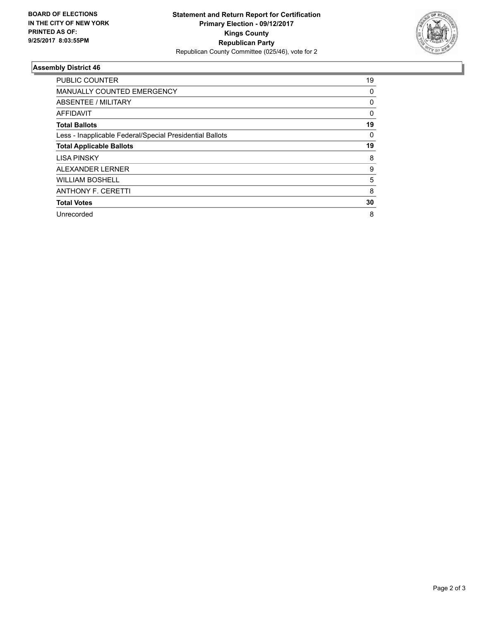

## **Assembly District 46**

| <b>PUBLIC COUNTER</b>                                    | 19       |
|----------------------------------------------------------|----------|
| <b>MANUALLY COUNTED EMERGENCY</b>                        | 0        |
| ABSENTEE / MILITARY                                      | 0        |
| AFFIDAVIT                                                | $\Omega$ |
| <b>Total Ballots</b>                                     | 19       |
| Less - Inapplicable Federal/Special Presidential Ballots | 0        |
| <b>Total Applicable Ballots</b>                          | 19       |
| <b>LISA PINSKY</b>                                       | 8        |
| ALEXANDER LERNER                                         | 9        |
| <b>WILLIAM BOSHELL</b>                                   | 5        |
| <b>ANTHONY F. CERETTI</b>                                | 8        |
| <b>Total Votes</b>                                       | 30       |
| Unrecorded                                               | 8        |